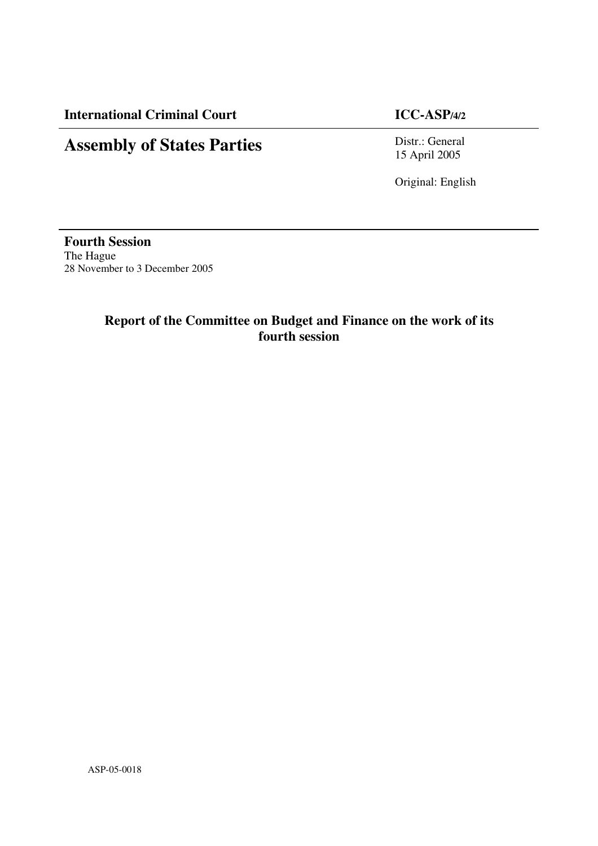**International Criminal Court ICC-ASP/4/2**

# **Assembly of States Parties**

Distr.: General 15 April 2005

Original: English

**Fourth Session** The Hague 28 November to 3 December 2005

# **Report of the Committee on Budget and Finance on the work of its fourth session**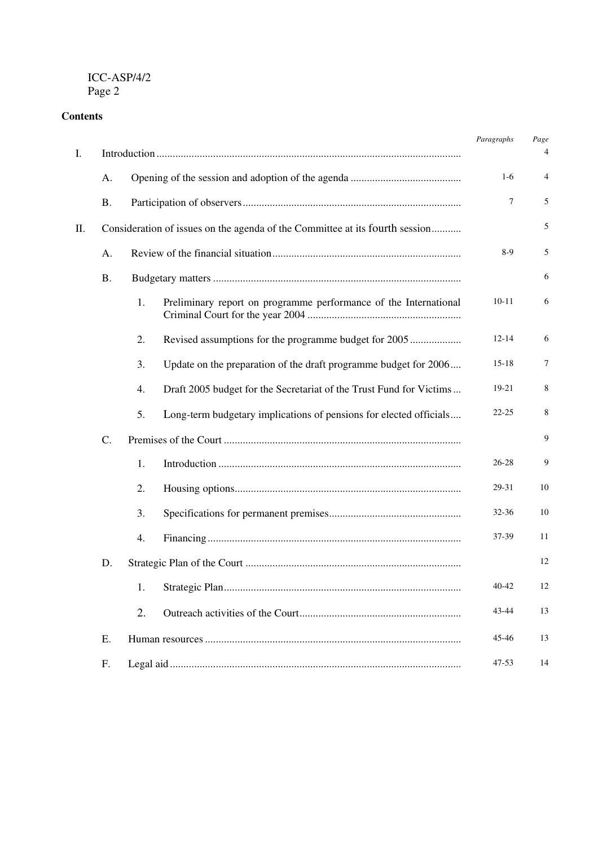# **Contents**

| I. |           |    |                                                                              | Paragraphs | Page<br>4 |
|----|-----------|----|------------------------------------------------------------------------------|------------|-----------|
|    | A.        |    |                                                                              | $1-6$      | 4         |
|    | <b>B.</b> |    |                                                                              | 7          | 5         |
| П. |           |    | Consideration of issues on the agenda of the Committee at its fourth session |            | 5         |
|    | А.        |    | $8-9$                                                                        | 5          |           |
|    | <b>B.</b> |    |                                                                              | 6          |           |
|    |           | 1. | Preliminary report on programme performance of the International             | $10 - 11$  | 6         |
|    |           | 2. | Revised assumptions for the programme budget for 2005                        | $12 - 14$  | 6         |
|    |           | 3. | Update on the preparation of the draft programme budget for 2006             | $15 - 18$  | 7         |
|    |           | 4. | Draft 2005 budget for the Secretariat of the Trust Fund for Victims          | 19-21      | 8         |
|    |           | 5. | Long-term budgetary implications of pensions for elected officials           | $22 - 25$  | 8         |
|    | C.        |    |                                                                              |            | 9         |
|    |           | 1. |                                                                              | 26-28      | 9         |
|    |           | 2. |                                                                              | 29-31      | 10        |
|    |           | 3. |                                                                              | 32-36      | 10        |
|    |           | 4. |                                                                              | 37-39      | 11        |
|    | D.        |    |                                                                              |            | 12        |
|    |           | 1. |                                                                              | $40 - 42$  | 12        |
|    |           | 2. |                                                                              | 43-44      | 13        |
|    | E.        |    |                                                                              | 45-46      | 13        |
|    | F.        |    |                                                                              | $47 - 53$  | 14        |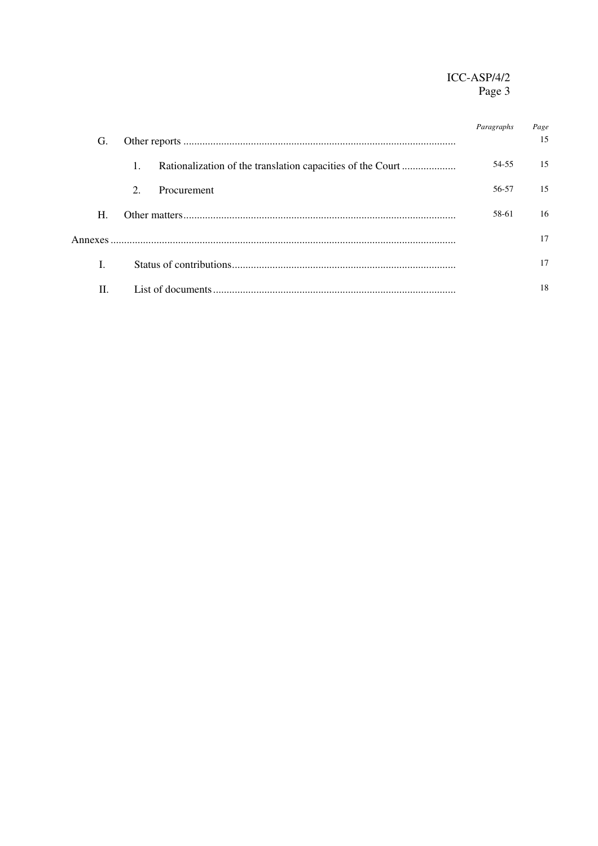|    |                          | Paragraphs | Page<br>15 |
|----|--------------------------|------------|------------|
| G. |                          |            |            |
|    | 1.                       | 54-55      | 15         |
|    | 2.<br><b>Procurement</b> | 56-57      | 15         |
| Н. |                          | 58-61      | 16         |
|    |                          | 17         |            |
|    |                          |            | 17         |
| H. |                          |            | 18         |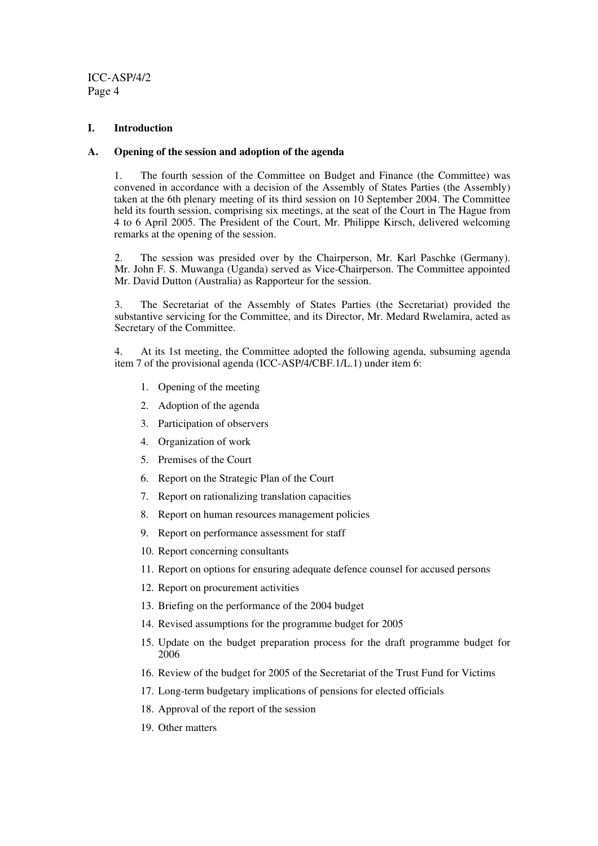#### **I. Introduction**

#### **A. Opening of the session and adoption of the agenda**

1. The fourth session of the Committee on Budget and Finance (the Committee) was convened in accordance with a decision of the Assembly of States Parties (the Assembly) taken at the 6th plenary meeting of its third session on 10 September 2004. The Committee held its fourth session, comprising six meetings, at the seat of the Court in The Hague from 4 to 6 April 2005. The President of the Court, Mr. Philippe Kirsch, delivered welcoming remarks at the opening of the session.

2. The session was presided over by the Chairperson, Mr. Karl Paschke (Germany). Mr. John F. S. Muwanga (Uganda) served as Vice-Chairperson. The Committee appointed Mr. David Dutton (Australia) as Rapporteur for the session.

3. The Secretariat of the Assembly of States Parties (the Secretariat) provided the substantive servicing for the Committee, and its Director, Mr. Medard Rwelamira, acted as Secretary of the Committee.

4. At its 1st meeting, the Committee adopted the following agenda, subsuming agenda item 7 of the provisional agenda (ICC-ASP/4/CBF.1/L.1) under item 6:

- 1. Opening of the meeting
- 2. Adoption of the agenda
- 3. Participation of observers
- 4. Organization of work
- 5. Premises of the Court
- 6. Report on the Strategic Plan of the Court
- 7. Report on rationalizing translation capacities
- 8. Report on human resources management policies
- 9. Report on performance assessment for staff
- 10. Report concerning consultants
- 11. Report on options for ensuring adequate defence counsel for accused persons
- 12. Report on procurement activities
- 13. Briefing on the performance of the 2004 budget
- 14. Revised assumptions for the programme budget for 2005
- 15. Update on the budget preparation process for the draft programme budget for 2006
- 16. Review of the budget for 2005 of the Secretariat of the Trust Fund for Victims
- 17. Long-term budgetary implications of pensions for elected officials
- 18. Approval of the report of the session
- 19. Other matters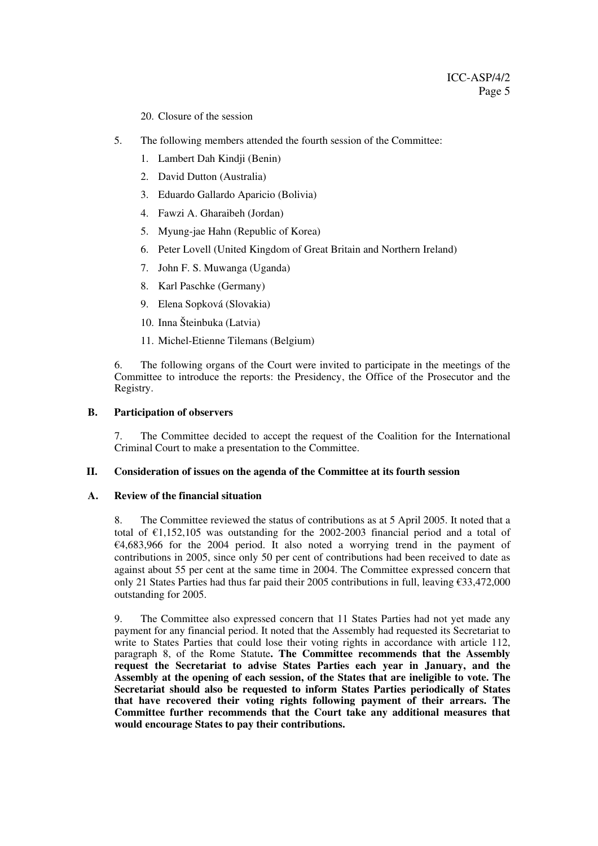20. Closure of the session

- 5. The following members attended the fourth session of the Committee:
	- 1. Lambert Dah Kindji (Benin)
	- 2. David Dutton (Australia)
	- 3. Eduardo Gallardo Aparicio (Bolivia)
	- 4. Fawzi A. Gharaibeh (Jordan)
	- 5. Myung-jae Hahn (Republic of Korea)
	- 6. Peter Lovell (United Kingdom of Great Britain and Northern Ireland)
	- 7. John F. S. Muwanga (Uganda)
	- 8. Karl Paschke (Germany)
	- 9. Elena Sopková (Slovakia)
	- 10. Inna Šteinbuka (Latvia)
	- 11. Michel-Etienne Tilemans (Belgium)

6. The following organs of the Court were invited to participate in the meetings of the Committee to introduce the reports: the Presidency, the Office of the Prosecutor and the Registry.

#### **B. Participation of observers**

7. The Committee decided to accept the request of the Coalition for the International Criminal Court to make a presentation to the Committee.

#### **II. Consideration of issues on the agenda of the Committee at its fourth session**

#### **A. Review of the financial situation**

8. The Committee reviewed the status of contributions as at 5 April 2005. It noted that a total of  $\epsilon$ 1,152,105 was outstanding for the 2002-2003 financial period and a total of  $€4,683,966$  for the 2004 period. It also noted a worrying trend in the payment of contributions in 2005, since only 50 per cent of contributions had been received to date as against about 55 per cent at the same time in 2004. The Committee expressed concern that only 21 States Parties had thus far paid their 2005 contributions in full, leaving  $\epsilon$ 33,472,000 outstanding for 2005.

9. The Committee also expressed concern that 11 States Parties had not yet made any payment for any financial period. It noted that the Assembly had requested its Secretariat to write to States Parties that could lose their voting rights in accordance with article 112, paragraph 8, of the Rome Statute**. The Committee recommends that the Assembly request the Secretariat to advise States Parties each year in January, and the Assembly at the opening of each session, of the States that are ineligible to vote. The Secretariat should also be requested to inform States Parties periodically of States that have recovered their voting rights following payment of their arrears. The Committee further recommends that the Court take any additional measures that would encourage States to pay their contributions.**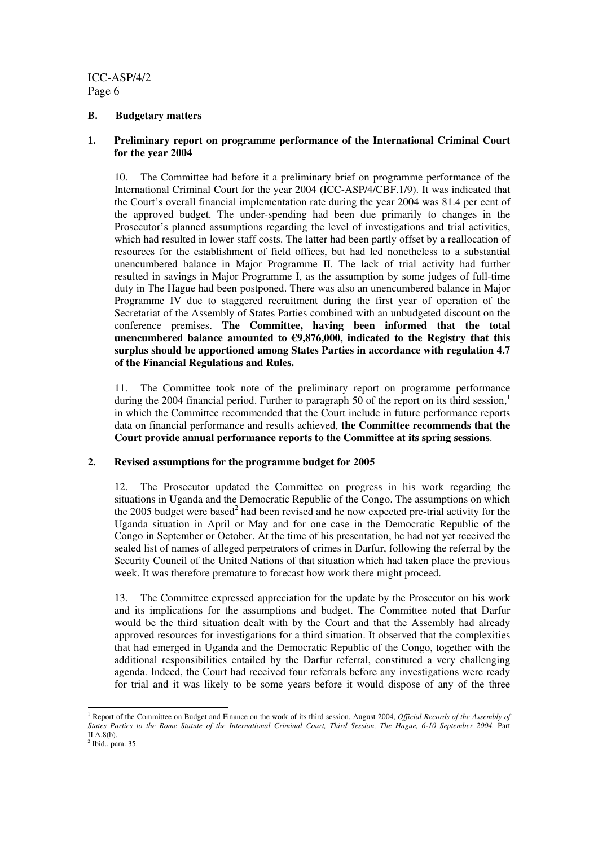#### **B. Budgetary matters**

#### **1. Preliminary report on programme performance of the International Criminal Court for the year 2004**

10. The Committee had before it a preliminary brief on programme performance of the International Criminal Court for the year 2004 (ICC-ASP/4/CBF.1/9). It was indicated that the Court's overall financial implementation rate during the year 2004 was 81.4 per cent of the approved budget. The under-spending had been due primarily to changes in the Prosecutor's planned assumptions regarding the level of investigations and trial activities, which had resulted in lower staff costs. The latter had been partly offset by a reallocation of resources for the establishment of field offices, but had led nonetheless to a substantial unencumbered balance in Major Programme II. The lack of trial activity had further resulted in savings in Major Programme I, as the assumption by some judges of full-time duty in The Hague had been postponed. There was also an unencumbered balance in Major Programme IV due to staggered recruitment during the first year of operation of the Secretariat of the Assembly of States Parties combined with an unbudgeted discount on the conference premises. **The Committee, having been informed that the total unencumbered balance amounted to €9,876,000, indicated to the Registry that this surplus should be apportioned among States Parties in accordance with regulation 4.7 of the Financial Regulations and Rules.**

11. The Committee took note of the preliminary report on programme performance during the 2004 financial period. Further to paragraph 50 of the report on its third session,<sup>1</sup> in which the Committee recommended that the Court include in future performance reports data on financial performance and results achieved, **the Committee recommends that the Court provide annual performance reports to the Committee at its spring sessions**.

#### **2. Revised assumptions for the programme budget for 2005**

12. The Prosecutor updated the Committee on progress in his work regarding the situations in Uganda and the Democratic Republic of the Congo. The assumptions on which the 2005 budget were based<sup>2</sup> had been revised and he now expected pre-trial activity for the Uganda situation in April or May and for one case in the Democratic Republic of the Congo in September or October. At the time of his presentation, he had not yet received the sealed list of names of alleged perpetrators of crimes in Darfur, following the referral by the Security Council of the United Nations of that situation which had taken place the previous week. It was therefore premature to forecast how work there might proceed.

13. The Committee expressed appreciation for the update by the Prosecutor on his work and its implications for the assumptions and budget. The Committee noted that Darfur would be the third situation dealt with by the Court and that the Assembly had already approved resources for investigations for a third situation. It observed that the complexities that had emerged in Uganda and the Democratic Republic of the Congo, together with the additional responsibilities entailed by the Darfur referral, constituted a very challenging agenda. Indeed, the Court had received four referrals before any investigations were ready for trial and it was likely to be some years before it would dispose of any of the three

<sup>1</sup> Report of the Committee on Budget and Finance on the work of its third session, August 2004, *Official Records of the Assembly of* States Parties to the Rome Statute of the International Criminal Court, Third Session, The Hague, 6-10 September 2004, Part II.A.8(b).

 $<sup>2</sup>$  Ibid., para. 35.</sup>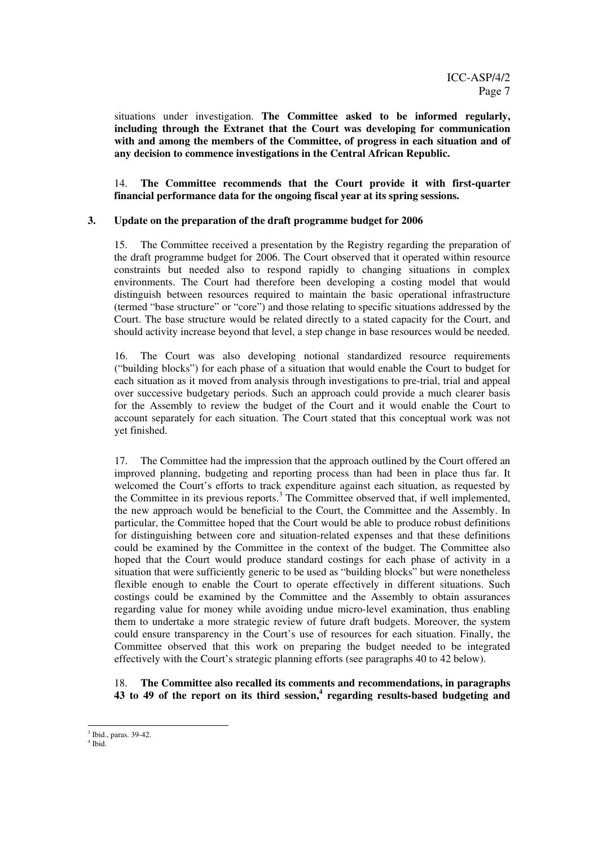situations under investigation. **The Committee asked to be informed regularly, including through the Extranet that the Court was developing for communication with and among the members of the Committee, of progress in each situation and of any decision to commence investigations in the Central African Republic.**

14. **The Committee recommends that the Court provide it with first-quarter financial performance data for the ongoing fiscal year at its spring sessions.**

#### **3. Update on the preparation of the draft programme budget for 2006**

15. The Committee received a presentation by the Registry regarding the preparation of the draft programme budget for 2006. The Court observed that it operated within resource constraints but needed also to respond rapidly to changing situations in complex environments. The Court had therefore been developing a costing model that would distinguish between resources required to maintain the basic operational infrastructure (termed "base structure" or "core") and those relating to specific situations addressed by the Court. The base structure would be related directly to a stated capacity for the Court, and should activity increase beyond that level, a step change in base resources would be needed.

16. The Court was also developing notional standardized resource requirements ("building blocks") for each phase of a situation that would enable the Court to budget for each situation as it moved from analysis through investigations to pre-trial, trial and appeal over successive budgetary periods. Such an approach could provide a much clearer basis for the Assembly to review the budget of the Court and it would enable the Court to account separately for each situation. The Court stated that this conceptual work was not yet finished.

17. The Committee had the impression that the approach outlined by the Court offered an improved planning, budgeting and reporting process than had been in place thus far. It welcomed the Court's efforts to track expenditure against each situation, as requested by the Committee in its previous reports. <sup>3</sup> The Committee observed that, if well implemented, the new approach would be beneficial to the Court, the Committee and the Assembly. In particular, the Committee hoped that the Court would be able to produce robust definitions for distinguishing between core and situation-related expenses and that these definitions could be examined by the Committee in the context of the budget. The Committee also hoped that the Court would produce standard costings for each phase of activity in a situation that were sufficiently generic to be used as "building blocks" but were nonetheless flexible enough to enable the Court to operate effectively in different situations. Such costings could be examined by the Committee and the Assembly to obtain assurances regarding value for money while avoiding undue micro-level examination, thus enabling them to undertake a more strategic review of future draft budgets. Moreover, the system could ensure transparency in the Court's use of resources for each situation. Finally, the Committee observed that this work on preparing the budget needed to be integrated effectively with the Court's strategic planning efforts (see paragraphs 40 to 42 below).

18. **The Committee also recalled its comments and recommendations, in paragraphs 43 to 49 of the report on its third session, 4 regarding results-based budgeting and**

<sup>3</sup> Ibid., paras. 39-42.

<sup>4</sup> Ibid.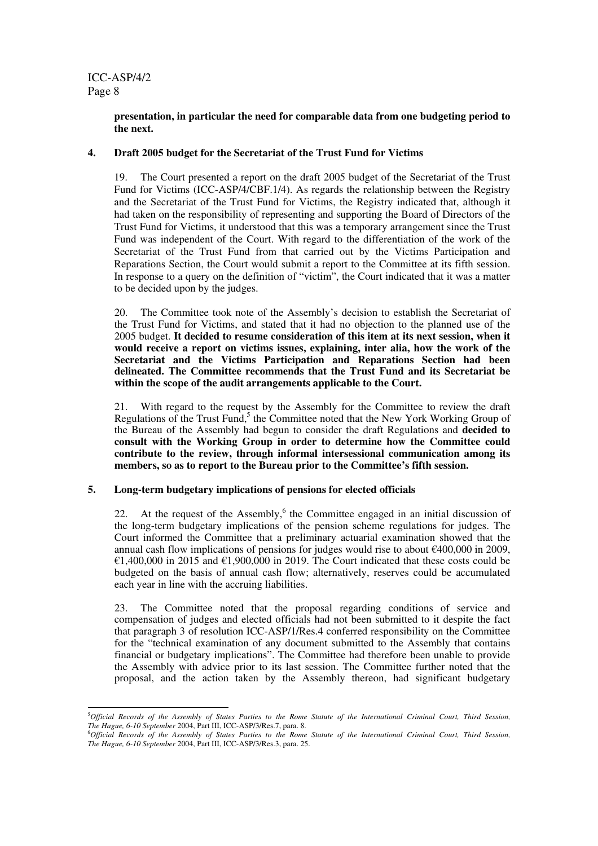#### **presentation, in particular the need for comparable data from one budgeting period to the next.**

#### **4. Draft 2005 budget for the Secretariat of the Trust Fund for Victims**

19. The Court presented a report on the draft 2005 budget of the Secretariat of the Trust Fund for Victims (ICC-ASP/4/CBF.1/4). As regards the relationship between the Registry and the Secretariat of the Trust Fund for Victims, the Registry indicated that, although it had taken on the responsibility of representing and supporting the Board of Directors of the Trust Fund for Victims, it understood that this was a temporary arrangement since the Trust Fund was independent of the Court. With regard to the differentiation of the work of the Secretariat of the Trust Fund from that carried out by the Victims Participation and Reparations Section, the Court would submit a report to the Committee at its fifth session. In response to a query on the definition of "victim", the Court indicated that it was a matter to be decided upon by the judges.

20. The Committee took note of the Assembly's decision to establish the Secretariat of the Trust Fund for Victims, and stated that it had no objection to the planned use of the 2005 budget. **It decided to resume consideration of this item at its next session, when it would receive a report on victims issues, explaining, inter alia, how the work of the Secretariat and the Victims Participation and Reparations Section had been delineated. The Committee recommends that the Trust Fund and its Secretariat be within the scope of the audit arrangements applicable to the Court.**

21. With regard to the request by the Assembly for the Committee to review the draft Regulations of the Trust Fund,<sup>5</sup> the Committee noted that the New York Working Group of the Bureau of the Assembly had begun to consider the draft Regulations and **decided to consult with the Working Group in order to determine how the Committee could contribute to the review, through informal intersessional communication among its members, so as to report to the Bureau prior to the Committee's fifth session.**

#### **5. Long-term budgetary implications of pensions for elected officials**

22. At the request of the Assembly, $6$  the Committee engaged in an initial discussion of the long-term budgetary implications of the pension scheme regulations for judges. The Court informed the Committee that a preliminary actuarial examination showed that the annual cash flow implications of pensions for judges would rise to about €400,000 in 2009, €1,400,000 in 2015 and €1,900,000 in 2019. The Court indicated that these costs could be budgeted on the basis of annual cash flow; alternatively, reserves could be accumulated each year in line with the accruing liabilities.

23. The Committee noted that the proposal regarding conditions of service and compensation of judges and elected officials had not been submitted to it despite the fact that paragraph 3 of resolution ICC-ASP/1/Res.4 conferred responsibility on the Committee for the "technical examination of any document submitted to the Assembly that contains financial or budgetary implications". The Committee had therefore been unable to provide the Assembly with advice prior to its last session. The Committee further noted that the proposal, and the action taken by the Assembly thereon, had significant budgetary

<sup>&</sup>lt;sup>5</sup>Official Records of the Assembly of States Parties to the Rome Statute of the International Criminal Court, Third Session, *The Hague, 6-10 September* 2004, Part III, ICC-ASP/3/Res.7, para. 8.

<sup>&</sup>lt;sup>6</sup>Official Records of the Assembly of States Parties to the Rome Statute of the International Criminal Court, Third Session, *The Hague, 6-10 September* 2004, Part III, ICC-ASP/3/Res.3, para. 25.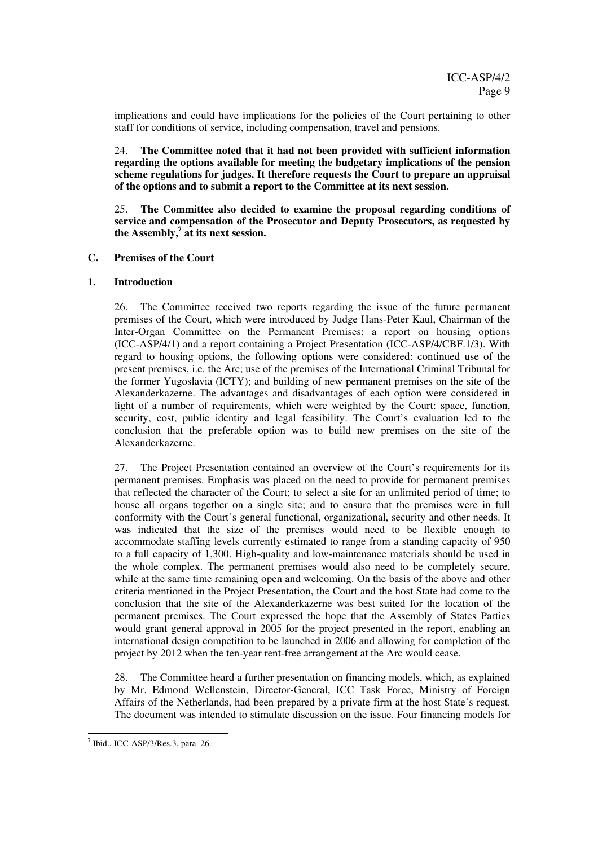implications and could have implications for the policies of the Court pertaining to other staff for conditions of service, including compensation, travel and pensions.

24. **The Committee noted that it had not been provided with sufficient information regarding the options available for meeting the budgetary implications of the pension scheme regulations for judges. It therefore requests the Court to prepare an appraisal of the options and to submit a report to the Committee at its next session.**

25. **The Committee also decided to examine the proposal regarding conditions of service and compensation of the Prosecutor and Deputy Prosecutors, as requested by the Assembly, 7 at its next session.**

#### **C. Premises of the Court**

#### **1. Introduction**

26. The Committee received two reports regarding the issue of the future permanent premises of the Court, which were introduced by Judge Hans-Peter Kaul, Chairman of the Inter-Organ Committee on the Permanent Premises: a report on housing options (ICC-ASP/4/1) and a report containing a Project Presentation (ICC-ASP/4/CBF.1/3). With regard to housing options, the following options were considered: continued use of the present premises, i.e. the Arc; use of the premises of the International Criminal Tribunal for the former Yugoslavia (ICTY); and building of new permanent premises on the site of the Alexanderkazerne. The advantages and disadvantages of each option were considered in light of a number of requirements, which were weighted by the Court: space, function, security, cost, public identity and legal feasibility. The Court's evaluation led to the conclusion that the preferable option was to build new premises on the site of the Alexanderkazerne.

27. The Project Presentation contained an overview of the Court's requirements for its permanent premises. Emphasis was placed on the need to provide for permanent premises that reflected the character of the Court; to select a site for an unlimited period of time; to house all organs together on a single site; and to ensure that the premises were in full conformity with the Court's general functional, organizational, security and other needs. It was indicated that the size of the premises would need to be flexible enough to accommodate staffing levels currently estimated to range from a standing capacity of 950 to a full capacity of 1,300. High-quality and low-maintenance materials should be used in the whole complex. The permanent premises would also need to be completely secure, while at the same time remaining open and welcoming. On the basis of the above and other criteria mentioned in the Project Presentation, the Court and the host State had come to the conclusion that the site of the Alexanderkazerne was best suited for the location of the permanent premises. The Court expressed the hope that the Assembly of States Parties would grant general approval in 2005 for the project presented in the report, enabling an international design competition to be launched in 2006 and allowing for completion of the project by 2012 when the ten-year rent-free arrangement at the Arc would cease.

28. The Committee heard a further presentation on financing models, which, as explained by Mr. Edmond Wellenstein, Director-General, ICC Task Force, Ministry of Foreign Affairs of the Netherlands, had been prepared by a private firm at the host State's request. The document was intended to stimulate discussion on the issue. Four financing models for

<sup>7</sup> Ibid., ICC-ASP/3/Res.3, para. 26.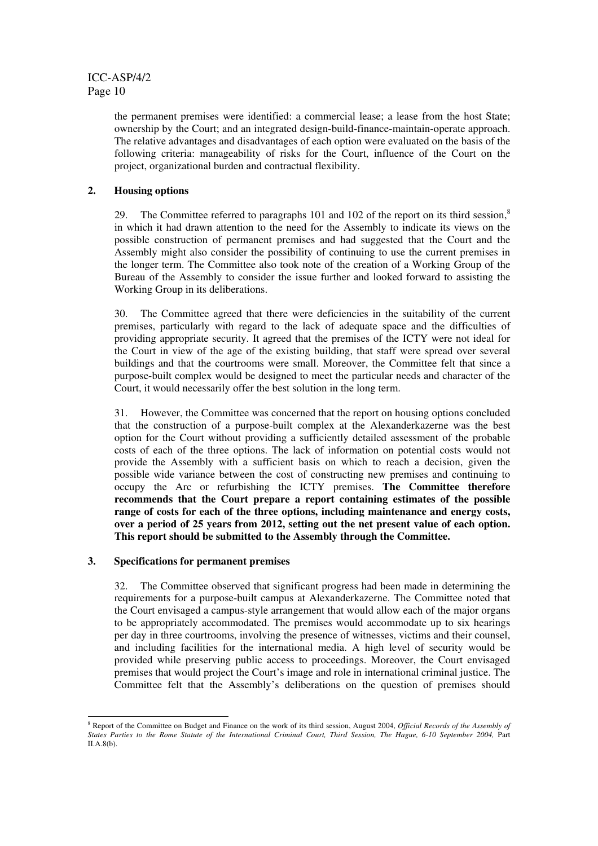the permanent premises were identified: a commercial lease; a lease from the host State; ownership by the Court; and an integrated design-build-finance-maintain-operate approach. The relative advantages and disadvantages of each option were evaluated on the basis of the following criteria: manageability of risks for the Court, influence of the Court on the project, organizational burden and contractual flexibility.

#### **2. Housing options**

29. The Committee referred to paragraphs 101 and 102 of the report on its third session,<sup>8</sup> in which it had drawn attention to the need for the Assembly to indicate its views on the possible construction of permanent premises and had suggested that the Court and the Assembly might also consider the possibility of continuing to use the current premises in the longer term. The Committee also took note of the creation of a Working Group of the Bureau of the Assembly to consider the issue further and looked forward to assisting the Working Group in its deliberations.

30. The Committee agreed that there were deficiencies in the suitability of the current premises, particularly with regard to the lack of adequate space and the difficulties of providing appropriate security. It agreed that the premises of the ICTY were not ideal for the Court in view of the age of the existing building, that staff were spread over several buildings and that the courtrooms were small. Moreover, the Committee felt that since a purpose-built complex would be designed to meet the particular needs and character of the Court, it would necessarily offer the best solution in the long term.

31. However, the Committee was concerned that the report on housing options concluded that the construction of a purpose-built complex at the Alexanderkazerne was the best option for the Court without providing a sufficiently detailed assessment of the probable costs of each of the three options. The lack of information on potential costs would not provide the Assembly with a sufficient basis on which to reach a decision, given the possible wide variance between the cost of constructing new premises and continuing to occupy the Arc or refurbishing the ICTY premises. **The Committee therefore recommends that the Court prepare a report containing estimates of the possible range of costs for each of the three options, including maintenance and energy costs, over a period of 25 years from 2012, setting out the net present value of each option. This report should be submitted to the Assembly through the Committee.**

#### **3. Specifications for permanent premises**

32. The Committee observed that significant progress had been made in determining the requirements for a purpose-built campus at Alexanderkazerne. The Committee noted that the Court envisaged a campus-style arrangement that would allow each of the major organs to be appropriately accommodated. The premises would accommodate up to six hearings per day in three courtrooms, involving the presence of witnesses, victims and their counsel, and including facilities for the international media. A high level of security would be provided while preserving public access to proceedings. Moreover, the Court envisaged premises that would project the Court's image and role in international criminal justice. The Committee felt that the Assembly's deliberations on the question of premises should

<sup>8</sup> Report of the Committee on Budget and Finance on the work of its third session, August 2004, *Official Records of the Assembly of* States Parties to the Rome Statute of the International Criminal Court, Third Session, The Hague, 6-10 September 2004, Part II.A.8(b).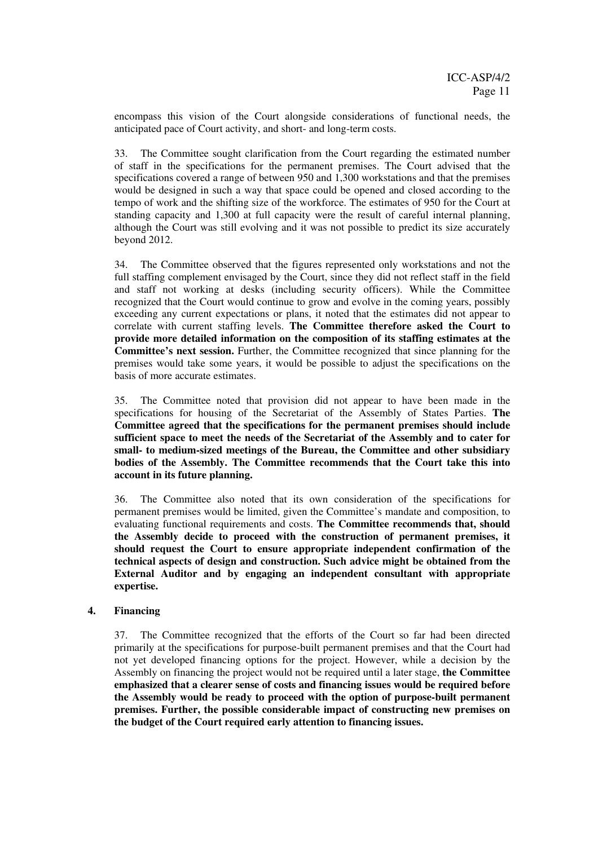encompass this vision of the Court alongside considerations of functional needs, the anticipated pace of Court activity, and short- and long-term costs.

33. The Committee sought clarification from the Court regarding the estimated number of staff in the specifications for the permanent premises. The Court advised that the specifications covered a range of between 950 and 1,300 workstations and that the premises would be designed in such a way that space could be opened and closed according to the tempo of work and the shifting size of the workforce. The estimates of 950 for the Court at standing capacity and 1,300 at full capacity were the result of careful internal planning, although the Court was still evolving and it was not possible to predict its size accurately beyond 2012.

34. The Committee observed that the figures represented only workstations and not the full staffing complement envisaged by the Court, since they did not reflect staff in the field and staff not working at desks (including security officers). While the Committee recognized that the Court would continue to grow and evolve in the coming years, possibly exceeding any current expectations or plans, it noted that the estimates did not appear to correlate with current staffing levels. **The Committee therefore asked the Court to provide more detailed information on the composition of its staffing estimates at the Committee's next session.** Further, the Committee recognized that since planning for the premises would take some years, it would be possible to adjust the specifications on the basis of more accurate estimates.

35. The Committee noted that provision did not appear to have been made in the specifications for housing of the Secretariat of the Assembly of States Parties. **The Committee agreed that the specifications for the permanent premises should include sufficient space to meet the needs of the Secretariat of the Assembly and to cater for small- to medium-sized meetings of the Bureau, the Committee and other subsidiary bodies of the Assembly. The Committee recommends that the Court take this into account in its future planning.**

36. The Committee also noted that its own consideration of the specifications for permanent premises would be limited, given the Committee's mandate and composition, to evaluating functional requirements and costs. **The Committee recommends that, should the Assembly decide to proceed with the construction of permanent premises, it should request the Court to ensure appropriate independent confirmation of the technical aspects of design and construction. Such advice might be obtained from the External Auditor and by engaging an independent consultant with appropriate expertise.**

#### **4. Financing**

37. The Committee recognized that the efforts of the Court so far had been directed primarily at the specifications for purpose-built permanent premises and that the Court had not yet developed financing options for the project. However, while a decision by the Assembly on financing the project would not be required until a later stage, **the Committee emphasized that a clearer sense of costs and financing issues would be required before the Assembly would be ready to proceed with the option of purpose-built permanent premises. Further, the possible considerable impact of constructing new premises on the budget of the Court required early attention to financing issues.**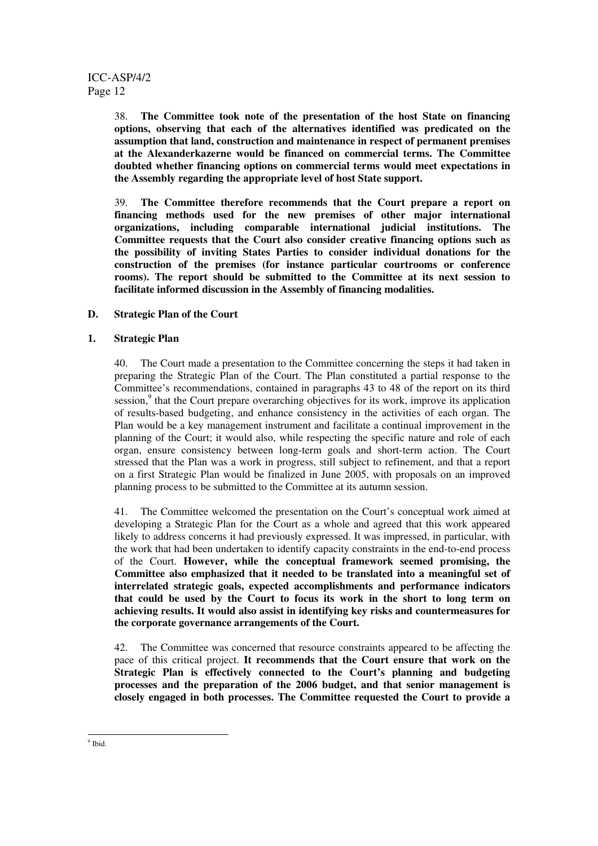38. **The Committee took note of the presentation of the host State on financing options, observing that each of the alternatives identified was predicated on the assumption that land, construction and maintenance in respect of permanent premises at the Alexanderkazerne would be financed on commercial terms. The Committee doubted whether financing options on commercial terms would meet expectations in the Assembly regarding the appropriate level of host State support.**

39. **The Committee therefore recommends that the Court prepare a report on financing methods used for the new premises of other major international organizations, including comparable international judicial institutions. The Committee requests that the Court also consider creative financing options such as the possibility of inviting States Parties to consider individual donations for the construction of the premises (for instance particular courtrooms or conference rooms). The report should be submitted to the Committee at its next session to facilitate informed discussion in the Assembly of financing modalities.**

#### **D. Strategic Plan of the Court**

#### **1. Strategic Plan**

40. The Court made a presentation to the Committee concerning the steps it had taken in preparing the Strategic Plan of the Court. The Plan constituted a partial response to the Committee's recommendations, contained in paragraphs 43 to 48 of the report on its third session,<sup>9</sup> that the Court prepare overarching objectives for its work, improve its application of results-based budgeting, and enhance consistency in the activities of each organ. The Plan would be a key management instrument and facilitate a continual improvement in the planning of the Court; it would also, while respecting the specific nature and role of each organ, ensure consistency between long-term goals and short-term action. The Court stressed that the Plan was a work in progress, still subject to refinement, and that a report on a first Strategic Plan would be finalized in June 2005, with proposals on an improved planning process to be submitted to the Committee at its autumn session.

41. The Committee welcomed the presentation on the Court's conceptual work aimed at developing a Strategic Plan for the Court as a whole and agreed that this work appeared likely to address concerns it had previously expressed. It was impressed, in particular, with the work that had been undertaken to identify capacity constraints in the end-to-end process of the Court. **However, while the conceptual framework seemed promising, the Committee also emphasized that it needed to be translated into a meaningful set of interrelated strategic goals, expected accomplishments and performance indicators that could be used by the Court to focus its work in the short to long term on achieving results. It would also assist in identifying key risks and countermeasures for the corporate governance arrangements of the Court.**

42. The Committee was concerned that resource constraints appeared to be affecting the pace of this critical project. **It recommends that the Court ensure that work on the Strategic Plan is effectively connected to the Court's planning and budgeting processes and the preparation of the 2006 budget, and that senior management is closely engaged in both processes. The Committee requested the Court to provide a**

<sup>&</sup>lt;sup>9</sup> Ibid.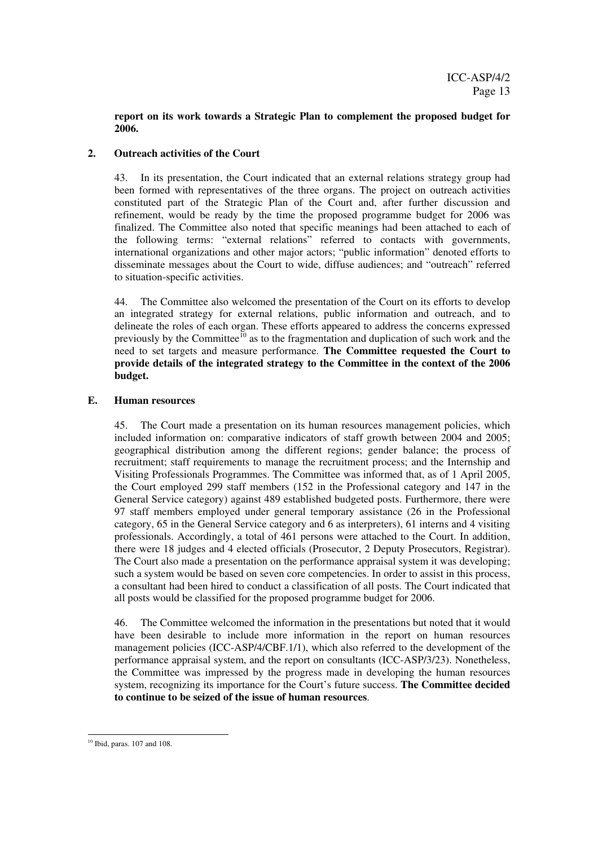#### **report on its work towards a Strategic Plan to complement the proposed budget for 2006.**

#### **2. Outreach activities of the Court**

43. In its presentation, the Court indicated that an external relations strategy group had been formed with representatives of the three organs. The project on outreach activities constituted part of the Strategic Plan of the Court and, after further discussion and refinement, would be ready by the time the proposed programme budget for 2006 was finalized. The Committee also noted that specific meanings had been attached to each of the following terms: "external relations" referred to contacts with governments, international organizations and other major actors; "public information" denoted efforts to disseminate messages about the Court to wide, diffuse audiences; and "outreach" referred to situation-specific activities.

44. The Committee also welcomed the presentation of the Court on its efforts to develop an integrated strategy for external relations, public information and outreach, and to delineate the roles of each organ. These efforts appeared to address the concerns expressed previously by the Committee<sup>10</sup> as to the fragmentation and duplication of such work and the need to set targets and measure performance. **The Committee requested the Court to provide details of the integrated strategy to the Committee in the context of the 2006 budget.**

#### **E. Human resources**

45. The Court made a presentation on its human resources management policies, which included information on: comparative indicators of staff growth between 2004 and 2005; geographical distribution among the different regions; gender balance; the process of recruitment; staff requirements to manage the recruitment process; and the Internship and Visiting Professionals Programmes. The Committee was informed that, as of 1 April 2005, the Court employed 299 staff members (152 in the Professional category and 147 in the General Service category) against 489 established budgeted posts. Furthermore, there were 97 staff members employed under general temporary assistance (26 in the Professional category, 65 in the General Service category and 6 as interpreters), 61 interns and 4 visiting professionals. Accordingly, a total of 461 persons were attached to the Court. In addition, there were 18 judges and 4 elected officials (Prosecutor, 2 Deputy Prosecutors, Registrar). The Court also made a presentation on the performance appraisal system it was developing; such a system would be based on seven core competencies. In order to assist in this process, a consultant had been hired to conduct a classification of all posts. The Court indicated that all posts would be classified for the proposed programme budget for 2006.

46. The Committee welcomed the information in the presentations but noted that it would have been desirable to include more information in the report on human resources management policies (ICC-ASP/4/CBF.1/1), which also referred to the development of the performance appraisal system, and the report on consultants (ICC-ASP/3/23). Nonetheless, the Committee was impressed by the progress made in developing the human resources system, recognizing its importance for the Court's future success. **The Committee decided to continue to be seized of the issue of human resources**.

<sup>10</sup> Ibid, paras. 107 and 108.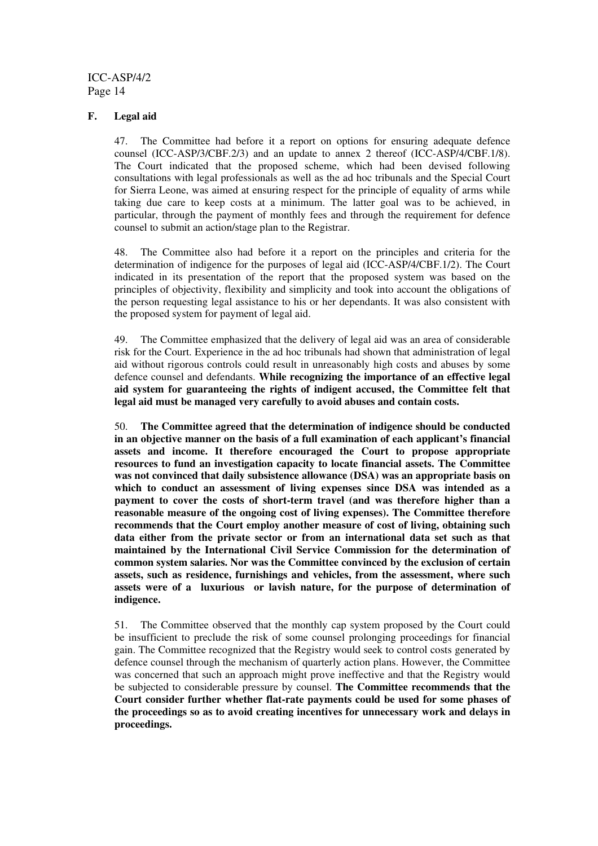#### **F. Legal aid**

47. The Committee had before it a report on options for ensuring adequate defence counsel (ICC-ASP/3/CBF.2/3) and an update to annex 2 thereof (ICC-ASP/4/CBF.1/8). The Court indicated that the proposed scheme, which had been devised following consultations with legal professionals as well as the ad hoc tribunals and the Special Court for Sierra Leone, was aimed at ensuring respect for the principle of equality of arms while taking due care to keep costs at a minimum. The latter goal was to be achieved, in particular, through the payment of monthly fees and through the requirement for defence counsel to submit an action/stage plan to the Registrar.

48. The Committee also had before it a report on the principles and criteria for the determination of indigence for the purposes of legal aid (ICC-ASP/4/CBF.1/2). The Court indicated in its presentation of the report that the proposed system was based on the principles of objectivity, flexibility and simplicity and took into account the obligations of the person requesting legal assistance to his or her dependants. It was also consistent with the proposed system for payment of legal aid.

49. The Committee emphasized that the delivery of legal aid was an area of considerable risk for the Court. Experience in the ad hoc tribunals had shown that administration of legal aid without rigorous controls could result in unreasonably high costs and abuses by some defence counsel and defendants. **While recognizing the importance of an effective legal aid system for guaranteeing the rights of indigent accused, the Committee felt that legal aid must be managed very carefully to avoid abuses and contain costs.**

50. **The Committee agreed that the determination of indigence should be conducted in an objective manner on the basis of a full examination of each applicant's financial assets and income. It therefore encouraged the Court to propose appropriate resources to fund an investigation capacity to locate financial assets. The Committee was not convinced that daily subsistence allowance (DSA) was an appropriate basis on which to conduct an assessment of living expenses since DSA was intended as a payment to cover the costs of short-term travel (and was therefore higher than a reasonable measure of the ongoing cost of living expenses). The Committee therefore recommends that the Court employ another measure of cost of living, obtaining such data either from the private sector or from an international data set such as that maintained by the International Civil Service Commission for the determination of common system salaries. Nor was the Committee convinced by the exclusion of certain assets, such as residence, furnishings and vehicles, from the assessment, where such assets were of a luxurious or lavish nature, for the purpose of determination of indigence.**

51. The Committee observed that the monthly cap system proposed by the Court could be insufficient to preclude the risk of some counsel prolonging proceedings for financial gain. The Committee recognized that the Registry would seek to control costs generated by defence counsel through the mechanism of quarterly action plans. However, the Committee was concerned that such an approach might prove ineffective and that the Registry would be subjected to considerable pressure by counsel. **The Committee recommends that the Court consider further whether flat-rate payments could be used for some phases of the proceedings so as to avoid creating incentives for unnecessary work and delays in proceedings.**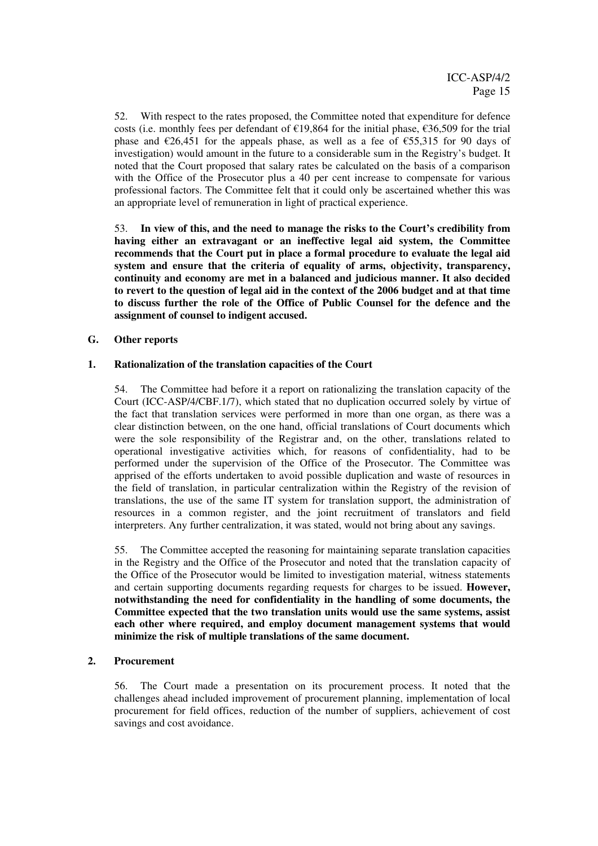52. With respect to the rates proposed, the Committee noted that expenditure for defence costs (i.e. monthly fees per defendant of €19,864 for the initial phase, €36,509 for the trial phase and  $\epsilon$ 26,451 for the appeals phase, as well as a fee of  $\epsilon$ 55,315 for 90 days of investigation) would amount in the future to a considerable sum in the Registry's budget. It noted that the Court proposed that salary rates be calculated on the basis of a comparison with the Office of the Prosecutor plus a 40 per cent increase to compensate for various professional factors. The Committee felt that it could only be ascertained whether this was an appropriate level of remuneration in light of practical experience.

53. **In view of this, and the need to manage the risks to the Court's credibility from having either an extravagant or an ineffective legal aid system, the Committee recommends that the Court put in place a formal procedure to evaluate the legal aid system and ensure that the criteria of equality of arms, objectivity, transparency, continuity and economy are met in a balanced and judicious manner. It also decided to revert to the question of legal aid in the context of the 2006 budget and at that time to discuss further the role of the Office of Public Counsel for the defence and the assignment of counsel to indigent accused.**

#### **G. Other reports**

#### **1. Rationalization of the translation capacities of the Court**

54. The Committee had before it a report on rationalizing the translation capacity of the Court (ICC-ASP/4/CBF.1/7), which stated that no duplication occurred solely by virtue of the fact that translation services were performed in more than one organ, as there was a clear distinction between, on the one hand, official translations of Court documents which were the sole responsibility of the Registrar and, on the other, translations related to operational investigative activities which, for reasons of confidentiality, had to be performed under the supervision of the Office of the Prosecutor. The Committee was apprised of the efforts undertaken to avoid possible duplication and waste of resources in the field of translation, in particular centralization within the Registry of the revision of translations, the use of the same IT system for translation support, the administration of resources in a common register, and the joint recruitment of translators and field interpreters. Any further centralization, it was stated, would not bring about any savings.

55. The Committee accepted the reasoning for maintaining separate translation capacities in the Registry and the Office of the Prosecutor and noted that the translation capacity of the Office of the Prosecutor would be limited to investigation material, witness statements and certain supporting documents regarding requests for charges to be issued. **However, notwithstanding the need for confidentiality in the handling of some documents, the Committee expected that the two translation units would use the same systems, assist each other where required, and employ document management systems that would minimize the risk of multiple translations of the same document.**

#### **2. Procurement**

56. The Court made a presentation on its procurement process. It noted that the challenges ahead included improvement of procurement planning, implementation of local procurement for field offices, reduction of the number of suppliers, achievement of cost savings and cost avoidance.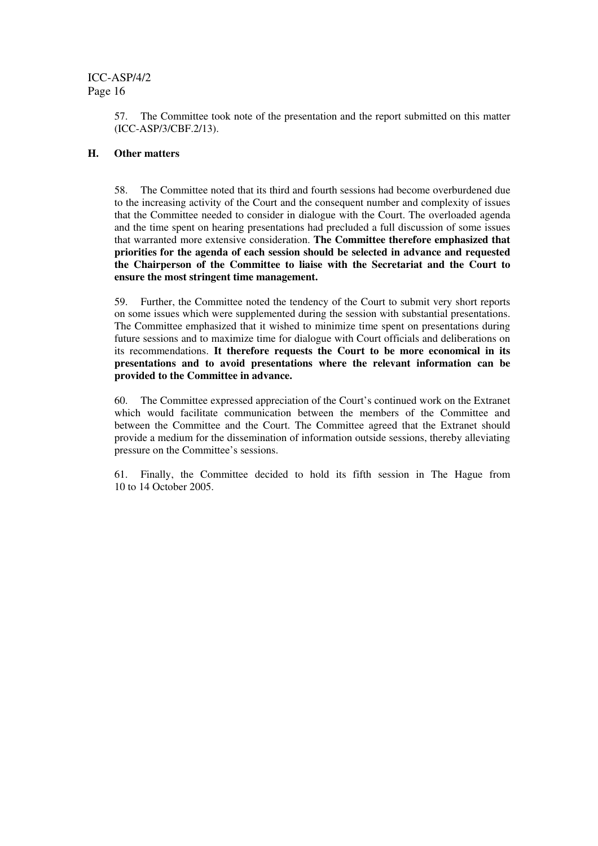57. The Committee took note of the presentation and the report submitted on this matter (ICC-ASP/3/CBF.2/13).

#### **H. Other matters**

58. The Committee noted that its third and fourth sessions had become overburdened due to the increasing activity of the Court and the consequent number and complexity of issues that the Committee needed to consider in dialogue with the Court. The overloaded agenda and the time spent on hearing presentations had precluded a full discussion of some issues that warranted more extensive consideration. **The Committee therefore emphasized that priorities for the agenda of each session should be selected in advance and requested the Chairperson of the Committee to liaise with the Secretariat and the Court to ensure the most stringent time management.**

59. Further, the Committee noted the tendency of the Court to submit very short reports on some issues which were supplemented during the session with substantial presentations. The Committee emphasized that it wished to minimize time spent on presentations during future sessions and to maximize time for dialogue with Court officials and deliberations on its recommendations. **It therefore requests the Court to be more economical in its presentations and to avoid presentations where the relevant information can be provided to the Committee in advance.**

60. The Committee expressed appreciation of the Court's continued work on the Extranet which would facilitate communication between the members of the Committee and between the Committee and the Court. The Committee agreed that the Extranet should provide a medium for the dissemination of information outside sessions, thereby alleviating pressure on the Committee's sessions.

61. Finally, the Committee decided to hold its fifth session in The Hague from 10 to 14 October 2005.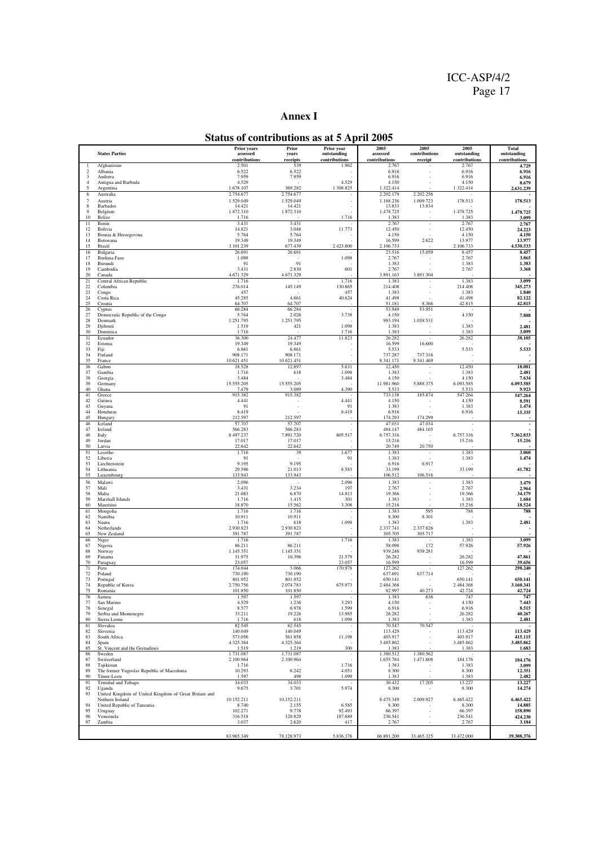#### **Annex I**

## **Status of contributions as at 5 April 2005**

|                       |                                                                          | <b>Prior years</b>        | Prior                  | Prior year                   | 2005                      | 2005                                  | 2005                         | <b>Total</b>                 |
|-----------------------|--------------------------------------------------------------------------|---------------------------|------------------------|------------------------------|---------------------------|---------------------------------------|------------------------------|------------------------------|
|                       | <b>States Parties</b>                                                    | assessed<br>contributions | years<br>receipts      | outstanding<br>contributions | assessed<br>contributions | contributions<br>receipt              | outstanding<br>contributions | outstanding<br>contributions |
| -1                    | Afghanistan                                                              | 2.501                     | 539                    | 1.962                        | 2.767                     |                                       | 2.767                        | 4.729                        |
| $\overline{2}$<br>3   | Albania<br>Andorra                                                       | 6.522<br>7.959            | 6.522<br>7.959         |                              | 6.916<br>6.916            |                                       | 6.916<br>6.916               | 6.916<br>6.916               |
| $\overline{4}$        | Antigua and Barbuda                                                      | 4.529                     |                        | 4.529                        | 4.150                     |                                       | 4.150                        | 8.679                        |
| 5<br>6                | Argentina<br>Australia                                                   | 1.678.107<br>2.754.677    | 369.282<br>2.754.677   | 1.308.825                    | 1.322.414<br>2.202.179    | 2.202.256                             | 1.322.414<br>÷.              | 2.631.239                    |
| $\tau$                | Austria                                                                  | 1.529.049                 | 1.529.049              |                              | 1.188.236                 | 1.009.723                             | 178.513                      | 178.513                      |
| 8                     | Barbados                                                                 | 14.421                    | 14.421                 |                              | 13.833                    | 13.834                                |                              |                              |
| 9<br>10               | Belgium<br>Belize                                                        | 1.872.310<br>1.716        | 1.872.310              | 1.716                        | 1.478.725<br>1.383        |                                       | 1.478.725<br>1.383           | 1.478.725<br>3.099           |
| 11                    | Benin                                                                    | 3.431                     | 3.431                  |                              | 2.767                     |                                       | 2.767                        | 2.767                        |
| 12<br>13              | Bolivia<br>Bosnia & Herzegovina                                          | 14.821<br>5.764           | 3.048<br>5.764         | 11.773                       | 12.450<br>4.150           |                                       | 12.450<br>4.150              | 24.223<br>4.150              |
| 14                    | Botswana                                                                 | 19.349                    | 19.349                 |                              | 16.599                    | 2.622                                 | 13.977                       | 13.977                       |
| 15<br>16              | Brazil<br>Bulgaria                                                       | 3.101.239<br>26.691       | 677.439<br>26.691      | 2.423.800                    | 2.106.733<br>23.516       | 15.059                                | 2.106.733<br>8.457           | 4.530.533<br>8.457           |
| 17                    | Burkina Faso                                                             | 1.098                     |                        | 1.098                        | 2.767                     |                                       | 2.767                        | 3.865                        |
| 18<br>19              | Burundi<br>Cambodia                                                      | 91                        | 91                     |                              | 1.383                     |                                       | 1.383                        | 1.383                        |
| 20                    | Canada                                                                   | 3.431<br>4.671.329        | 2.830<br>4.671.329     | 601                          | 2.767<br>3.891.163        | 3.891.304                             | 2.767                        | 3.368                        |
| 21                    | Central African Republic                                                 | 1.716                     |                        | 1.716                        | 1.383                     |                                       | 1.383                        | 3.099                        |
| 22<br>23              | Colombia<br>Congo                                                        | 276.014<br>457            | 145.149                | 130.865<br>457               | 214.408<br>1.383          |                                       | 214.408<br>1.383             | 345.273<br>1.840             |
| 24                    | Costa Rica                                                               | 45.285                    | 4.661                  | 40.624                       | 41.498                    |                                       | 41.498                       | 82.122                       |
| 25<br>26              | Croatia                                                                  | 64.707<br>66.284          | 64.707<br>66.284       |                              | 51.181<br>53.949          | 8.366<br>53.951                       | 42.815                       | 42.815                       |
| 27                    | Cyprus<br>Democratic Republic of the Congo                               | 5.764                     | 2.026                  | 3.738                        | 4.150                     |                                       | 4.150                        | 7.888                        |
| 28                    | Denmark                                                                  | 1.251.795                 | 1.251.795              |                              | 993.194                   | 1.038.531                             |                              |                              |
| 29<br>30              | Djibouti<br>Dominica                                                     | 1.519<br>1.716            | 421                    | 1.098<br>1.716               | 1.383<br>1.383            |                                       | 1.383<br>1.383               | 2.481<br>3.099               |
| 31                    | Ecuador                                                                  | 36.300                    | 24.477                 | 11.823                       | 26.282                    |                                       | 26.282                       | 38.105                       |
| 32<br>33              | Estonia<br>Fiji                                                          | 19.349<br>6.861           | 19.349<br>6.861        |                              | 16.599<br>5.533           | 16.600                                | 5.533                        | 5.533                        |
| 34                    | Finland                                                                  | 908.171                   | 908.171                |                              | 737.287                   | 737.316                               |                              |                              |
| 35<br>36              | France                                                                   | 10.621.451                | 10.621.451             | 5.631                        | 8.341.171<br>12.450       | 8.341.469<br>$\overline{\phantom{a}}$ | 12.450                       | 18.081                       |
| 37                    | Gabon<br>Gambia                                                          | 18.528<br>1.716           | 12.897<br>618          | 1.098                        | 1.383                     |                                       | 1.383                        | 2.481                        |
| 38                    | Georgia                                                                  | 3.484                     |                        | 3.484                        | 4.150                     |                                       | 4.150                        | 7.634<br>6.093.585           |
| 39<br>40              | Germany<br>Ghana                                                         | 15.555.205<br>7.479       | 15.555.205<br>3.089    | 4.390                        | 11.981.960<br>5.533       | 5.888.375                             | 6.093.585<br>5.533           | 9.923                        |
| 41                    | Greece                                                                   | 915.382                   | 915.382                |                              | 733.138                   | 185.874                               | 547.264                      | 547.264                      |
| 42<br>43              | Guinea<br>Guyana                                                         | 4.441<br>91               |                        | 4.441<br>91                  | 4.150<br>1.383            |                                       | 4.150<br>1.383               | 8.591<br>1.474               |
| 44                    | Honduras                                                                 | 8.419                     |                        | 8.419                        | 6.916                     |                                       | 6.916                        | 15.335                       |
| 45                    | Hungary                                                                  | 212.597                   | 212.597                |                              | 174.293                   | 174.299                               |                              |                              |
| 46<br>47              | Iceland<br>Ireland                                                       | 57.707<br>566.283         | 57.707<br>566.283      |                              | 47.031<br>484.147         | 47.034<br>484.165                     | $\overline{\phantom{a}}$     |                              |
| 48                    | Italy                                                                    | 8.497.237                 | 7.891.720              | 605.517                      | 6.757.316                 | ٠                                     | 6.757.316                    | 7.362.833                    |
| 49<br>50              | Jordan<br>Latvia                                                         | 17.017<br>22.642          | 17.017<br>22.642       |                              | 15.216<br>20.749          | 20.750                                | 15.216                       | 15.216                       |
| 51                    | Lesotho                                                                  | 1.716                     | 39                     | 1.677                        | 1.383                     | $\overline{\phantom{a}}$              | 1.383                        | 3.060                        |
| 52<br>53              | Liberia<br>Liechtenstein                                                 | 91<br>9.195               | 9.195                  | 91                           | 1.383<br>6.916            | 6.917                                 | 1.383                        | 1.474                        |
| 54                    | Lithuania                                                                | 29.596                    | 21.013                 | 8.583                        | 33.199                    |                                       | 33.199                       | 41.782                       |
| 55                    | Luxembourg                                                               | 133.943                   | 133.943                |                              | 106.512                   | 106.516                               |                              |                              |
| 56<br>57              | Malawi<br>Mali                                                           | 2.096<br>3.431            | 3.234                  | 2.096<br>197                 | 1.383<br>2.767            | ä,                                    | 1.383<br>2.767               | 3.479<br>2.964               |
| 58                    | Malta                                                                    | 21.683                    | 6.870                  | 14.813                       | 19.366                    |                                       | 19.366                       | 34.179                       |
| 59                    | Marshall Islands                                                         | 1.716                     | 1.415                  | 301<br>3.308                 | 1.383<br>15.216           |                                       | 1.383<br>15.216              | 1.684<br>18.524              |
| 60<br>61              | Mauritius<br>Mongolia                                                    | 18.870<br>1.716           | 15.562<br>1.716        |                              | 1.383                     | 595                                   | 788                          | 788                          |
| 62                    | Namibia                                                                  | 10.911                    | 10.911                 |                              | 8.300                     | 8.301                                 |                              |                              |
| 63<br>64              | Nauru<br>Netherlands                                                     | 1.716<br>2.930.823        | 618<br>2.930.823       | 1.098                        | 1.383<br>2.337.741        | 2.337.826                             | 1.383                        | 2.481                        |
| 65                    | New Zealand                                                              | 391.787                   | 391.787                |                              | 305.705                   | 305.717                               |                              |                              |
| 66<br>67              | Niger                                                                    | 1.716<br>86.211           | 86.211                 | 1.716                        | 1.383<br>58.098           | 172                                   | 1.383<br>57.926              | 3.099<br>57.926              |
| 68                    | Nigeria<br>Norway                                                        | 1.145.351                 | 1.145.351              |                              | 939.246                   | 939.281                               |                              |                              |
| 69<br>70              | Panama                                                                   | 31.975<br>23.057          | 10.396                 | 21.579<br>23.057             | 26.282<br>16.599          |                                       | 26.282<br>16.599             | 47.861                       |
| 71                    | Paraguay<br>Peru                                                         | 174.044                   | 3.066                  | 170.978                      | 127.262                   | $\overline{\phantom{a}}$              | 127.262                      | 39.656<br>298.240            |
| 72                    | Poland                                                                   | 730.190                   | 730.190                |                              | 637.691                   | 637.714                               |                              |                              |
| 73<br>74              | Portugal<br>Republic of Korea                                            | 801.952<br>2.750.756      | 801.952<br>2.074.783   | 675.973                      | 650.141<br>2.484.368      |                                       | 650.141<br>2.484.368         | 650.141<br>3.160.341         |
| 75                    | Romania                                                                  | 101.850                   | 101.850                |                              | 82.997                    | 40.273                                | 42.724                       | 42.724                       |
| $\overline{76}$<br>77 | Samoa<br>San Marino                                                      | 1.597<br>4.529            | 1.597<br>1.236         | 3.293                        | 1.383<br>4.150            | 636                                   | 747<br>4.150                 | 747<br>7.443                 |
| 78                    | Senegal                                                                  | 8.577                     | 6.978                  | 1.599                        | 6.916                     |                                       | 6.916                        | 8.515                        |
| 79<br>80              | Serbia and Montenegro                                                    | 33.211                    | 19.226                 | 13.985<br>1.098              | 26.282<br>1.383           |                                       | 26.282<br>1.383              | 40.267<br>2.481              |
| 81                    | Sierra Leone<br>Slovakia                                                 | 1.716<br>82.545           | 618<br>82.545          | $\overline{\phantom{a}}$     | 70.547                    | 70.547                                |                              |                              |
| 82                    | Slovenia                                                                 | 140.049                   | 140.049                |                              | 113.429                   |                                       | 113.429                      | 113.429                      |
| 83<br>84              | South Africa<br>Spain                                                    | 573.056<br>4.325.364      | 561.858<br>4.325.364   | 11.198                       | 403.917<br>3.485.862      | ٠                                     | 403.917<br>3.485.862         | 415.115<br>3.485.862         |
| 85                    | St. Vincent and the Grenadines                                           | 1.519                     | 1.219                  | 300                          | 1.383                     |                                       | 1.383                        | 1.683                        |
| 86<br>87              | Sweden<br>Switzerland                                                    | 1.731.087<br>2.100.964    | 1.731.087<br>2.100.964 | ×                            | 1.380.512<br>1.655.784    | 1.380.562<br>1.471.608                | 184.176                      | 184.176                      |
| 88                    | Tajikistan                                                               | 1.716                     |                        | 1.716                        | 1.383                     |                                       | 1.383                        | 3.099                        |
| 89<br>90              | The former Yugoslav Republic of Macedonia                                | 10.293                    | 6.242                  | 4.051                        | 8.300                     | $\overline{\phantom{a}}$              | 8.300                        | 12.351                       |
| 91                    | Timor-Leste<br>Trinidad and Tobago                                       | 1.597<br>34.033           | 498<br>34.033          | 1.099<br>٠.                  | 1.383<br>30.432           | 17.205                                | 1.383<br>13.227              | 2.482<br>13.227              |
| 92                    | Uganda                                                                   | 9.675                     | 3.701                  | 5.974                        | 8.300                     |                                       | 8.300                        | 14.274                       |
| 93                    | United Kingdom of United Kingdom of Great Britain and<br>Nothern Ireland | 10.152.211                | 10.152.211             |                              | 8.475.349                 | 2.009.927                             | 6.465.422                    | 6.465.422                    |
| 94                    | United Republic of Tanzania                                              | 8.740                     | 2.155                  | 6.585                        | 8.300                     |                                       | 8.300                        | 14.885                       |
| 95<br>96              | Uruguay<br>Venezuela                                                     | 102.271<br>316.518        | 9.778<br>128.829       | 92.493<br>187.689            | 66.397<br>236.541         |                                       | 66.397<br>236.541            | 158.890<br>424.230           |
| 97                    | Zambia                                                                   | 3.037                     | 2.620                  | 417                          | 2.767                     |                                       | 2.767                        | 3.184                        |
|                       |                                                                          |                           |                        |                              |                           |                                       |                              |                              |
|                       |                                                                          | 83.965.349                | 78.128.973             | 5.836.376                    | 66.891.200                | 33.465.325                            | 33.472.000                   | 39.308.376                   |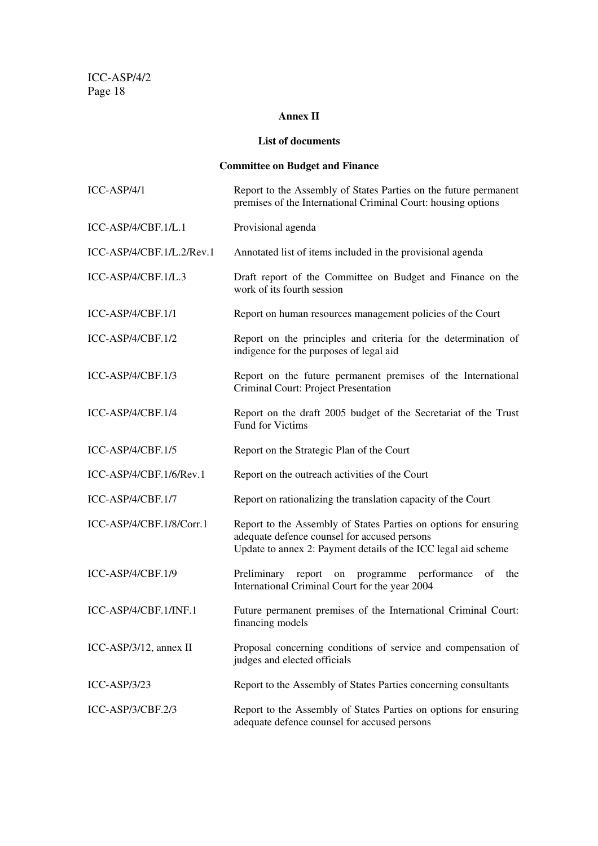## **Annex II**

#### **List of documents**

# **Committee on Budget and Finance**

| $ICC-ASP/4/1$             | Report to the Assembly of States Parties on the future permanent<br>premises of the International Criminal Court: housing options                                                  |
|---------------------------|------------------------------------------------------------------------------------------------------------------------------------------------------------------------------------|
| ICC-ASP/4/CBF.1/L.1       | Provisional agenda                                                                                                                                                                 |
| ICC-ASP/4/CBF.1/L.2/Rev.1 | Annotated list of items included in the provisional agenda                                                                                                                         |
| ICC-ASP/4/CBF.1/L.3       | Draft report of the Committee on Budget and Finance on the<br>work of its fourth session                                                                                           |
| ICC-ASP/4/CBF.1/1         | Report on human resources management policies of the Court                                                                                                                         |
| ICC-ASP/4/CBF.1/2         | Report on the principles and criteria for the determination of<br>indigence for the purposes of legal aid                                                                          |
| ICC-ASP/4/CBF.1/3         | Report on the future permanent premises of the International<br>Criminal Court: Project Presentation                                                                               |
| ICC-ASP/4/CBF.1/4         | Report on the draft 2005 budget of the Secretariat of the Trust<br>Fund for Victims                                                                                                |
| ICC-ASP/4/CBF.1/5         | Report on the Strategic Plan of the Court                                                                                                                                          |
| ICC-ASP/4/CBF.1/6/Rev.1   | Report on the outreach activities of the Court                                                                                                                                     |
| ICC-ASP/4/CBF.1/7         | Report on rationalizing the translation capacity of the Court                                                                                                                      |
| ICC-ASP/4/CBF.1/8/Corr.1  | Report to the Assembly of States Parties on options for ensuring<br>adequate defence counsel for accused persons<br>Update to annex 2: Payment details of the ICC legal aid scheme |
| ICC-ASP/4/CBF.1/9         | Preliminary<br>programme<br>performance<br>of<br>the<br>report<br>on<br>International Criminal Court for the year 2004                                                             |
| ICC-ASP/4/CBF.1/INF.1     | Future permanent premises of the International Criminal Court:<br>financing models                                                                                                 |
| ICC-ASP/3/12, annex II    | Proposal concerning conditions of service and compensation of<br>judges and elected officials                                                                                      |
| ICC-ASP/3/23              | Report to the Assembly of States Parties concerning consultants                                                                                                                    |
| ICC-ASP/3/CBF.2/3         | Report to the Assembly of States Parties on options for ensuring<br>adequate defence counsel for accused persons                                                                   |